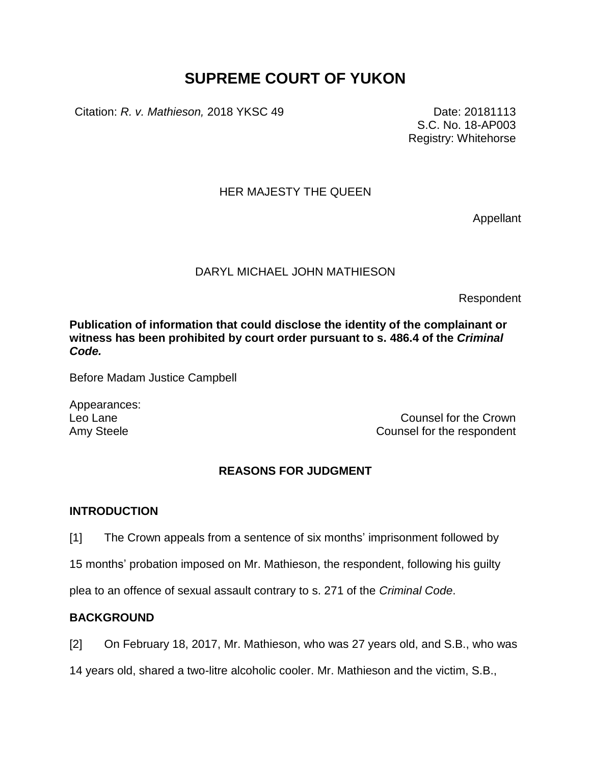# **SUPREME COURT OF YUKON**

Citation: *R. v. Mathieson,* 2018 YKSC 49 Date: 20181113

S.C. No. 18-AP003 Registry: Whitehorse

## HER MAJESTY THE QUEEN

Appellant

## DARYL MICHAEL JOHN MATHIESON

Respondent

**Publication of information that could disclose the identity of the complainant or witness has been prohibited by court order pursuant to s. 486.4 of the** *Criminal Code.*

Before Madam Justice Campbell

Appearances:

Leo Lane Counsel for the Crown Counsel for the Crown Counsel for the Crown Amy Steele **Counsel for the respondent** 

#### **REASONS FOR JUDGMENT**

#### **INTRODUCTION**

[1] The Crown appeals from a sentence of six months' imprisonment followed by

15 months' probation imposed on Mr. Mathieson, the respondent, following his guilty

plea to an offence of sexual assault contrary to s. 271 of the *Criminal Code*.

# **BACKGROUND**

[2] On February 18, 2017, Mr. Mathieson, who was 27 years old, and S.B., who was

14 years old, shared a two-litre alcoholic cooler. Mr. Mathieson and the victim, S.B.,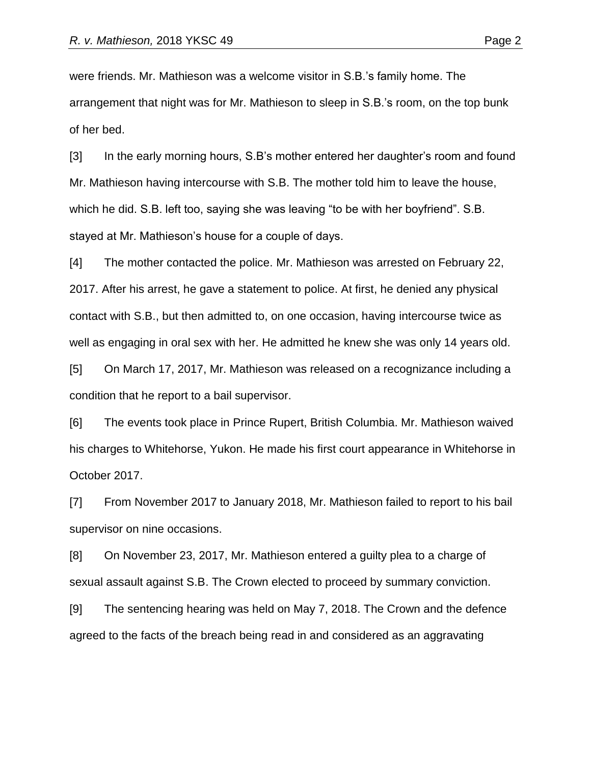were friends. Mr. Mathieson was a welcome visitor in S.B.'s family home. The arrangement that night was for Mr. Mathieson to sleep in S.B.'s room, on the top bunk of her bed.

[3] In the early morning hours, S.B's mother entered her daughter's room and found Mr. Mathieson having intercourse with S.B. The mother told him to leave the house, which he did. S.B. left too, saying she was leaving "to be with her boyfriend". S.B. stayed at Mr. Mathieson's house for a couple of days.

[4] The mother contacted the police. Mr. Mathieson was arrested on February 22, 2017. After his arrest, he gave a statement to police. At first, he denied any physical contact with S.B., but then admitted to, on one occasion, having intercourse twice as well as engaging in oral sex with her. He admitted he knew she was only 14 years old.

[5] On March 17, 2017, Mr. Mathieson was released on a recognizance including a condition that he report to a bail supervisor.

[6] The events took place in Prince Rupert, British Columbia. Mr. Mathieson waived his charges to Whitehorse, Yukon. He made his first court appearance in Whitehorse in October 2017.

[7] From November 2017 to January 2018, Mr. Mathieson failed to report to his bail supervisor on nine occasions.

[8] On November 23, 2017, Mr. Mathieson entered a guilty plea to a charge of sexual assault against S.B. The Crown elected to proceed by summary conviction.

[9] The sentencing hearing was held on May 7, 2018. The Crown and the defence agreed to the facts of the breach being read in and considered as an aggravating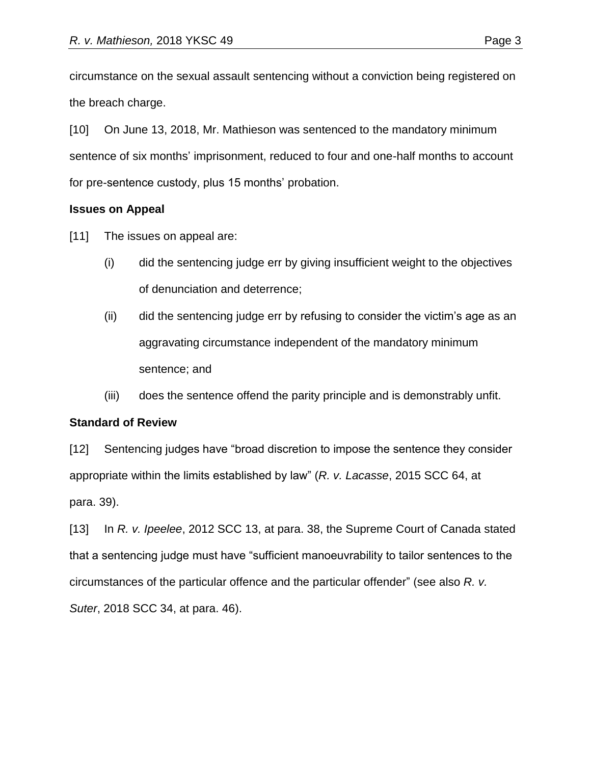circumstance on the sexual assault sentencing without a conviction being registered on the breach charge.

[10] On June 13, 2018, Mr. Mathieson was sentenced to the mandatory minimum sentence of six months' imprisonment, reduced to four and one-half months to account for pre-sentence custody, plus 15 months' probation.

## **Issues on Appeal**

[11] The issues on appeal are:

- (i) did the sentencing judge err by giving insufficient weight to the objectives of denunciation and deterrence;
- (ii) did the sentencing judge err by refusing to consider the victim's age as an aggravating circumstance independent of the mandatory minimum sentence; and
- (iii) does the sentence offend the parity principle and is demonstrably unfit.

# **Standard of Review**

[12] Sentencing judges have "broad discretion to impose the sentence they consider appropriate within the limits established by law" (*R. v. Lacasse*, 2015 SCC 64, at para. 39).

[13] In *R. v. Ipeelee*, 2012 SCC 13, at para. 38, the Supreme Court of Canada stated that a sentencing judge must have "sufficient manoeuvrability to tailor sentences to the circumstances of the particular offence and the particular offender" (see also *R. v. Suter*, 2018 SCC 34, at para. 46).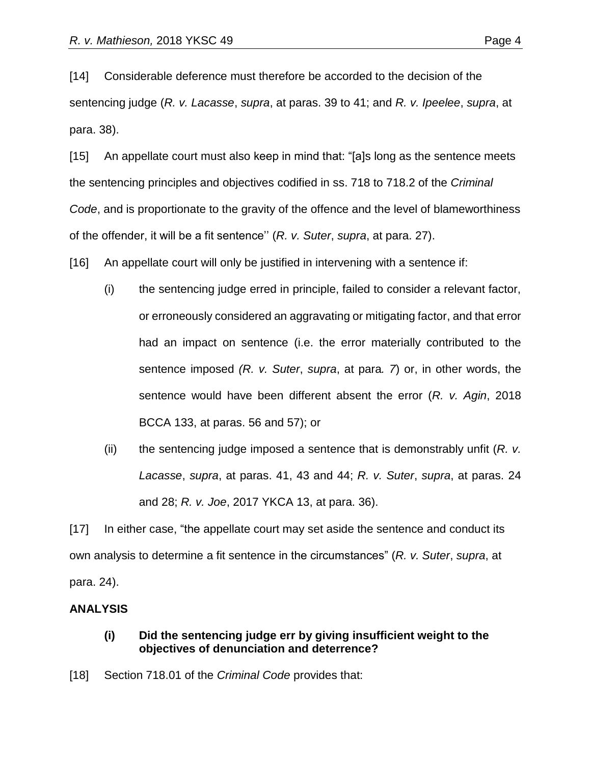[14] Considerable deference must therefore be accorded to the decision of the sentencing judge (*R. v. Lacasse*, *supra*, at paras. 39 to 41; and *R. v. Ipeelee*, *supra*, at para. 38).

[15] An appellate court must also keep in mind that: "[a]s long as the sentence meets the sentencing principles and objectives codified in ss. 718 to 718.2 of the *Criminal Code*, and is proportionate to the gravity of the offence and the level of blameworthiness of the offender, it will be a fit sentence'' (*R. v. Suter*, *supra*, at para. 27).

[16] An appellate court will only be justified in intervening with a sentence if:

- (i) the sentencing judge erred in principle, failed to consider a relevant factor, or erroneously considered an aggravating or mitigating factor, and that error had an impact on sentence (i.e. the error materially contributed to the sentence imposed *(R. v. Suter*, *supra*, at para*. 7*) or, in other words, the sentence would have been different absent the error (*R. v. Agin*, 2018 BCCA 133, at paras. 56 and 57); or
- (ii) the sentencing judge imposed a sentence that is demonstrably unfit (*R. v. Lacasse*, *supra*, at paras. 41, 43 and 44; *R. v. Suter*, *supra*, at paras. 24 and 28; *R. v. Joe*, 2017 YKCA 13, at para. 36).

[17] In either case, "the appellate court may set aside the sentence and conduct its own analysis to determine a fit sentence in the circumstances" (*R. v. Suter*, *supra*, at para. 24).

#### **ANALYSIS**

#### **(i) Did the sentencing judge err by giving insufficient weight to the objectives of denunciation and deterrence?**

[18] Section 718.01 of the *Criminal Code* provides that: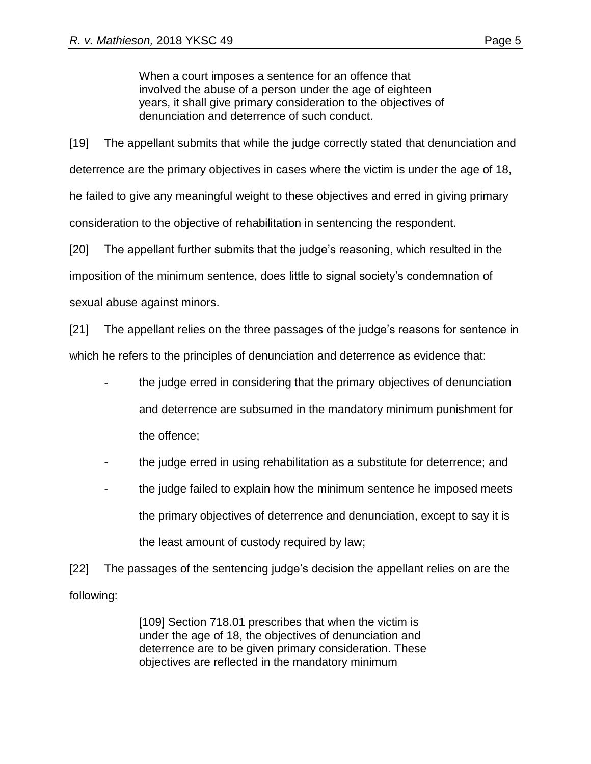When a court imposes a sentence for an offence that involved the abuse of a person under the age of eighteen years, it shall give primary consideration to the objectives of denunciation and deterrence of such conduct.

[19] The appellant submits that while the judge correctly stated that denunciation and deterrence are the primary objectives in cases where the victim is under the age of 18, he failed to give any meaningful weight to these objectives and erred in giving primary consideration to the objective of rehabilitation in sentencing the respondent.

[20] The appellant further submits that the judge's reasoning, which resulted in the imposition of the minimum sentence, does little to signal society's condemnation of sexual abuse against minors.

[21] The appellant relies on the three passages of the judge's reasons for sentence in which he refers to the principles of denunciation and deterrence as evidence that:

- the judge erred in considering that the primary objectives of denunciation and deterrence are subsumed in the mandatory minimum punishment for the offence;
- the judge erred in using rehabilitation as a substitute for deterrence; and
- the judge failed to explain how the minimum sentence he imposed meets the primary objectives of deterrence and denunciation, except to say it is the least amount of custody required by law;

[22] The passages of the sentencing judge's decision the appellant relies on are the following:

> [109] Section 718.01 prescribes that when the victim is under the age of 18, the objectives of denunciation and deterrence are to be given primary consideration. These objectives are reflected in the mandatory minimum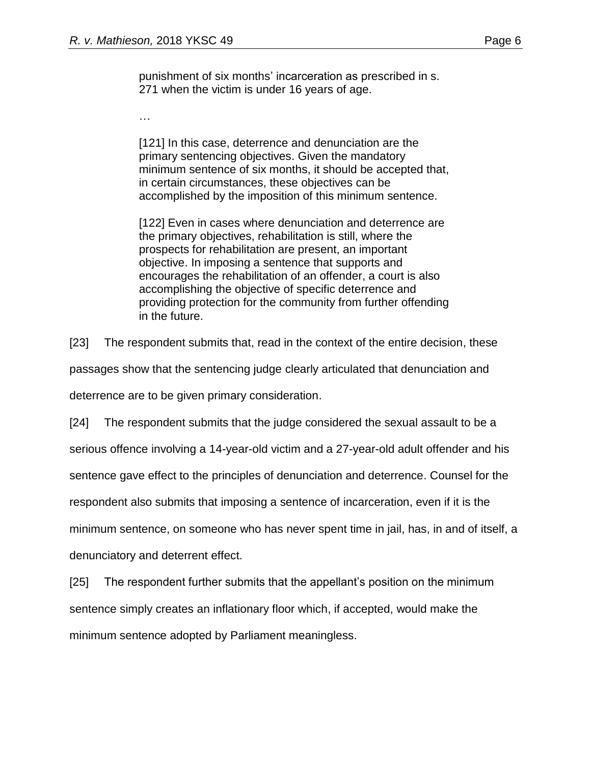punishment of six months' incarceration as prescribed in s. 271 when the victim is under 16 years of age.

…

[121] In this case, deterrence and denunciation are the primary sentencing objectives. Given the mandatory minimum sentence of six months, it should be accepted that, in certain circumstances, these objectives can be accomplished by the imposition of this minimum sentence.

[122] Even in cases where denunciation and deterrence are the primary objectives, rehabilitation is still, where the prospects for rehabilitation are present, an important objective. In imposing a sentence that supports and encourages the rehabilitation of an offender, a court is also accomplishing the objective of specific deterrence and providing protection for the community from further offending in the future.

[23] The respondent submits that, read in the context of the entire decision, these

passages show that the sentencing judge clearly articulated that denunciation and

deterrence are to be given primary consideration.

[24] The respondent submits that the judge considered the sexual assault to be a

serious offence involving a 14-year-old victim and a 27-year-old adult offender and his

sentence gave effect to the principles of denunciation and deterrence. Counsel for the

respondent also submits that imposing a sentence of incarceration, even if it is the

minimum sentence, on someone who has never spent time in jail, has, in and of itself, a

denunciatory and deterrent effect.

[25] The respondent further submits that the appellant's position on the minimum sentence simply creates an inflationary floor which, if accepted, would make the minimum sentence adopted by Parliament meaningless.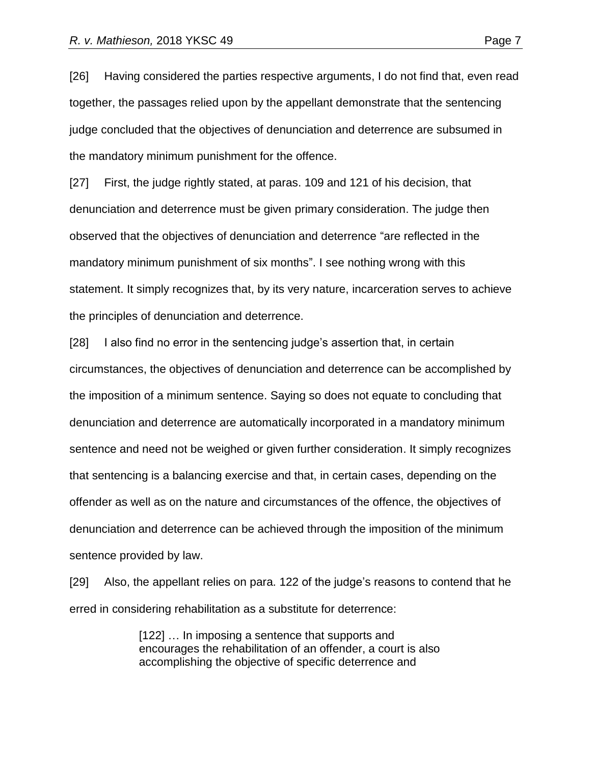[26] Having considered the parties respective arguments, I do not find that, even read together, the passages relied upon by the appellant demonstrate that the sentencing judge concluded that the objectives of denunciation and deterrence are subsumed in the mandatory minimum punishment for the offence.

[27] First, the judge rightly stated, at paras. 109 and 121 of his decision, that denunciation and deterrence must be given primary consideration. The judge then observed that the objectives of denunciation and deterrence "are reflected in the mandatory minimum punishment of six months". I see nothing wrong with this statement. It simply recognizes that, by its very nature, incarceration serves to achieve the principles of denunciation and deterrence.

[28] I also find no error in the sentencing judge's assertion that, in certain circumstances, the objectives of denunciation and deterrence can be accomplished by the imposition of a minimum sentence. Saying so does not equate to concluding that denunciation and deterrence are automatically incorporated in a mandatory minimum sentence and need not be weighed or given further consideration. It simply recognizes that sentencing is a balancing exercise and that, in certain cases, depending on the offender as well as on the nature and circumstances of the offence, the objectives of denunciation and deterrence can be achieved through the imposition of the minimum sentence provided by law.

[29] Also, the appellant relies on para. 122 of the judge's reasons to contend that he erred in considering rehabilitation as a substitute for deterrence:

> [122] ... In imposing a sentence that supports and encourages the rehabilitation of an offender, a court is also accomplishing the objective of specific deterrence and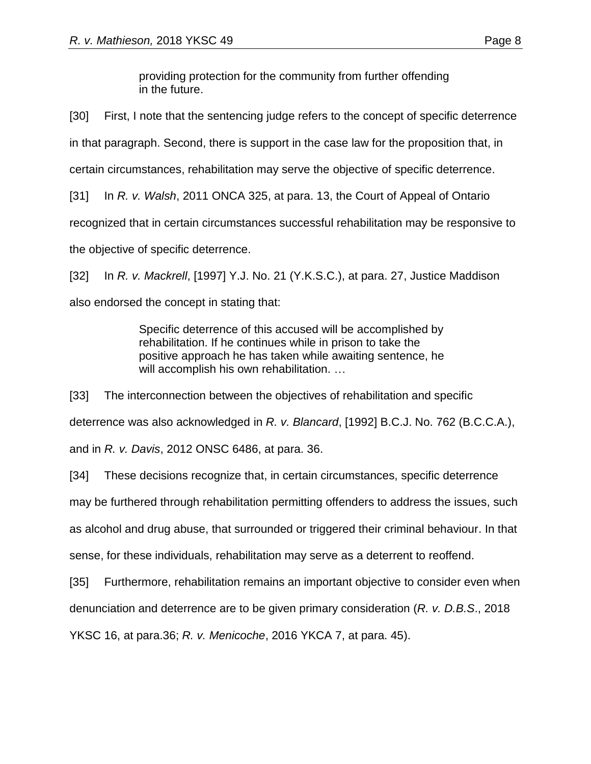providing protection for the community from further offending in the future.

[30] First, I note that the sentencing judge refers to the concept of specific deterrence in that paragraph. Second, there is support in the case law for the proposition that, in certain circumstances, rehabilitation may serve the objective of specific deterrence.

[31] In *R. v. Walsh*, 2011 ONCA 325, at para. 13, the Court of Appeal of Ontario recognized that in certain circumstances successful rehabilitation may be responsive to the objective of specific deterrence.

[32] In *R. v. Mackrell*, [1997] Y.J. No. 21 (Y.K.S.C.), at para. 27, Justice Maddison also endorsed the concept in stating that:

> Specific deterrence of this accused will be accomplished by rehabilitation. If he continues while in prison to take the positive approach he has taken while awaiting sentence, he will accomplish his own rehabilitation. …

[33] The interconnection between the objectives of rehabilitation and specific deterrence was also acknowledged in *R. v. Blancard*, [1992] B.C.J. No. 762 (B.C.C.A.), and in *R. v. Davis*, 2012 ONSC 6486, at para. 36.

[34] These decisions recognize that, in certain circumstances, specific deterrence

may be furthered through rehabilitation permitting offenders to address the issues, such

as alcohol and drug abuse, that surrounded or triggered their criminal behaviour. In that

sense, for these individuals, rehabilitation may serve as a deterrent to reoffend.

[35] Furthermore, rehabilitation remains an important objective to consider even when

denunciation and deterrence are to be given primary consideration (*R. v. D.B.S*., 2018

YKSC 16, at para.36; *R. v. Menicoche*, 2016 YKCA 7, at para. 45).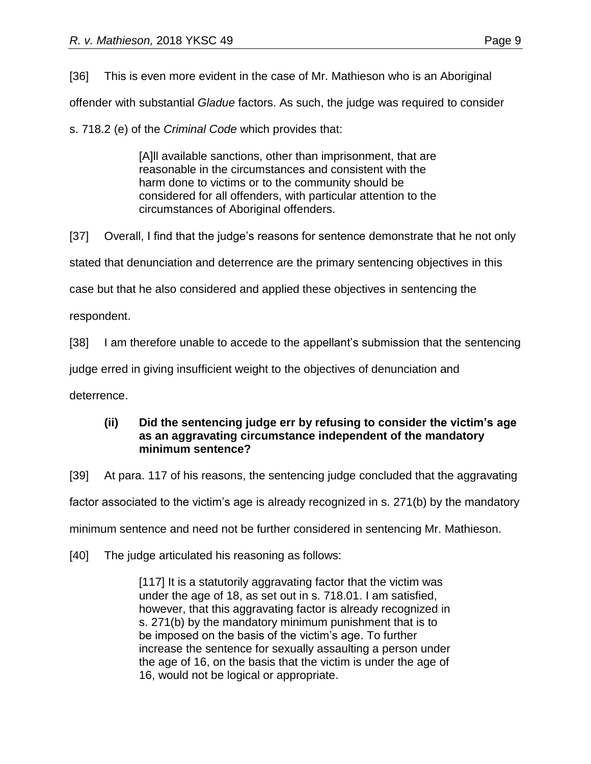[36] This is even more evident in the case of Mr. Mathieson who is an Aboriginal

offender with substantial *Gladue* factors. As such, the judge was required to consider

s. 718.2 (e) of the *Criminal Code* which provides that:

[A]ll available sanctions, other than imprisonment, that are reasonable in the circumstances and consistent with the harm done to victims or to the community should be considered for all offenders, with particular attention to the circumstances of Aboriginal offenders.

[37] Overall, I find that the judge's reasons for sentence demonstrate that he not only stated that denunciation and deterrence are the primary sentencing objectives in this case but that he also considered and applied these objectives in sentencing the respondent.

[38] I am therefore unable to accede to the appellant's submission that the sentencing

judge erred in giving insufficient weight to the objectives of denunciation and

deterrence.

#### **(ii) Did the sentencing judge err by refusing to consider the victim's age as an aggravating circumstance independent of the mandatory minimum sentence?**

[39] At para. 117 of his reasons, the sentencing judge concluded that the aggravating

factor associated to the victim's age is already recognized in s. 271(b) by the mandatory

minimum sentence and need not be further considered in sentencing Mr. Mathieson.

[40] The judge articulated his reasoning as follows:

[117] It is a statutorily aggravating factor that the victim was under the age of 18, as set out in s. 718.01. I am satisfied, however, that this aggravating factor is already recognized in s. 271(b) by the mandatory minimum punishment that is to be imposed on the basis of the victim's age. To further increase the sentence for sexually assaulting a person under the age of 16, on the basis that the victim is under the age of 16, would not be logical or appropriate.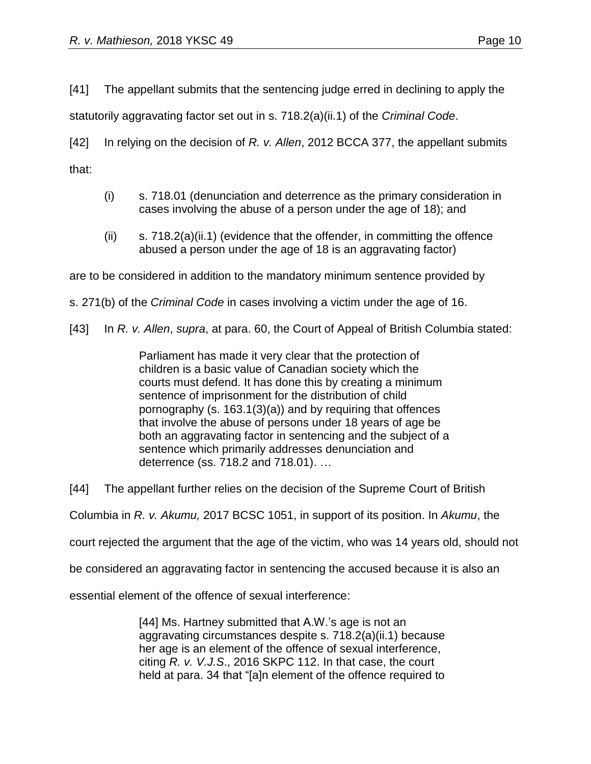[41] The appellant submits that the sentencing judge erred in declining to apply the

statutorily aggravating factor set out in s. 718.2(a)(ii.1) of the *Criminal Code*.

[42] In relying on the decision of *R. v. Allen*, 2012 BCCA 377, the appellant submits that:

- (i) s. 718.01 (denunciation and deterrence as the primary consideration in cases involving the abuse of a person under the age of 18); and
- $(i)$  s. 718.2(a)(ii.1) (evidence that the offender, in committing the offence abused a person under the age of 18 is an aggravating factor)

are to be considered in addition to the mandatory minimum sentence provided by

s. 271(b) of the *Criminal Code* in cases involving a victim under the age of 16.

[43] In *R. v. Allen*, *supra*, at para. 60, the Court of Appeal of British Columbia stated:

Parliament has made it very clear that the protection of children is a basic value of Canadian society which the courts must defend. It has done this by creating a minimum sentence of imprisonment for the distribution of child pornography (s. 163.1(3)(a)) and by requiring that offences that involve the abuse of persons under 18 years of age be both an aggravating factor in sentencing and the subject of a sentence which primarily addresses denunciation and deterrence (ss. 718.2 and 718.01). …

[44] The appellant further relies on the decision of the Supreme Court of British

Columbia in *R. v. Akumu,* 2017 BCSC 1051, in support of its position. In *Akumu*, the

court rejected the argument that the age of the victim, who was 14 years old, should not

be considered an aggravating factor in sentencing the accused because it is also an

essential element of the offence of sexual interference:

[44] Ms. Hartney submitted that A.W.'s age is not an aggravating circumstances despite s. 718.2(a)(ii.1) because her age is an element of the offence of sexual interference, citing *R. v. V.J.S*., 2016 SKPC 112. In that case, the court held at para. 34 that "[a]n element of the offence required to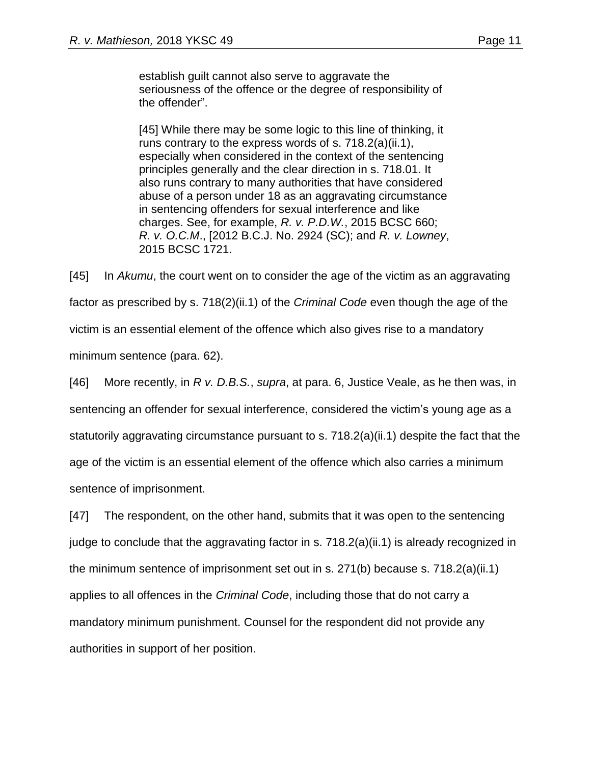establish guilt cannot also serve to aggravate the seriousness of the offence or the degree of responsibility of the offender".

[45] While there may be some logic to this line of thinking, it runs contrary to the express words of s. 718.2(a)(ii.1), especially when considered in the context of the sentencing principles generally and the clear direction in s. 718.01. It also runs contrary to many authorities that have considered abuse of a person under 18 as an aggravating circumstance in sentencing offenders for sexual interference and like charges. See, for example, *R. v. P.D.W.*, 2015 BCSC 660; *R. v. O.C.M*., [2012 B.C.J. No. 2924 (SC); and *R. v. Lowney*, 2015 BCSC 1721.

[45] In *Akumu*, the court went on to consider the age of the victim as an aggravating factor as prescribed by s. 718(2)(ii.1) of the *Criminal Code* even though the age of the victim is an essential element of the offence which also gives rise to a mandatory minimum sentence (para. 62).

[46] More recently, in *R v. D.B.S.*, *supra*, at para. 6, Justice Veale, as he then was, in sentencing an offender for sexual interference, considered the victim's young age as a statutorily aggravating circumstance pursuant to s. 718.2(a)(ii.1) despite the fact that the age of the victim is an essential element of the offence which also carries a minimum sentence of imprisonment.

[47] The respondent, on the other hand, submits that it was open to the sentencing judge to conclude that the aggravating factor in s.  $718.2(a)(ii.1)$  is already recognized in the minimum sentence of imprisonment set out in s. 271(b) because s. 718.2(a)(ii.1) applies to all offences in the *Criminal Code*, including those that do not carry a mandatory minimum punishment. Counsel for the respondent did not provide any authorities in support of her position.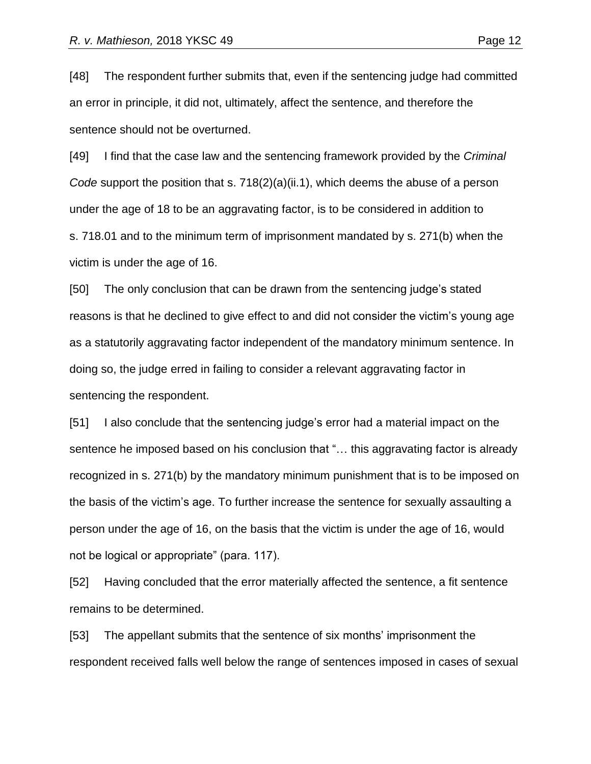[48] The respondent further submits that, even if the sentencing judge had committed an error in principle, it did not, ultimately, affect the sentence, and therefore the sentence should not be overturned.

[49] I find that the case law and the sentencing framework provided by the *Criminal Code* support the position that s. 718(2)(a)(ii.1), which deems the abuse of a person under the age of 18 to be an aggravating factor, is to be considered in addition to s. 718.01 and to the minimum term of imprisonment mandated by s. 271(b) when the victim is under the age of 16.

[50] The only conclusion that can be drawn from the sentencing judge's stated reasons is that he declined to give effect to and did not consider the victim's young age as a statutorily aggravating factor independent of the mandatory minimum sentence. In doing so, the judge erred in failing to consider a relevant aggravating factor in sentencing the respondent.

[51] I also conclude that the sentencing judge's error had a material impact on the sentence he imposed based on his conclusion that "… this aggravating factor is already recognized in s. 271(b) by the mandatory minimum punishment that is to be imposed on the basis of the victim's age. To further increase the sentence for sexually assaulting a person under the age of 16, on the basis that the victim is under the age of 16, would not be logical or appropriate" (para. 117).

[52] Having concluded that the error materially affected the sentence, a fit sentence remains to be determined.

[53] The appellant submits that the sentence of six months' imprisonment the respondent received falls well below the range of sentences imposed in cases of sexual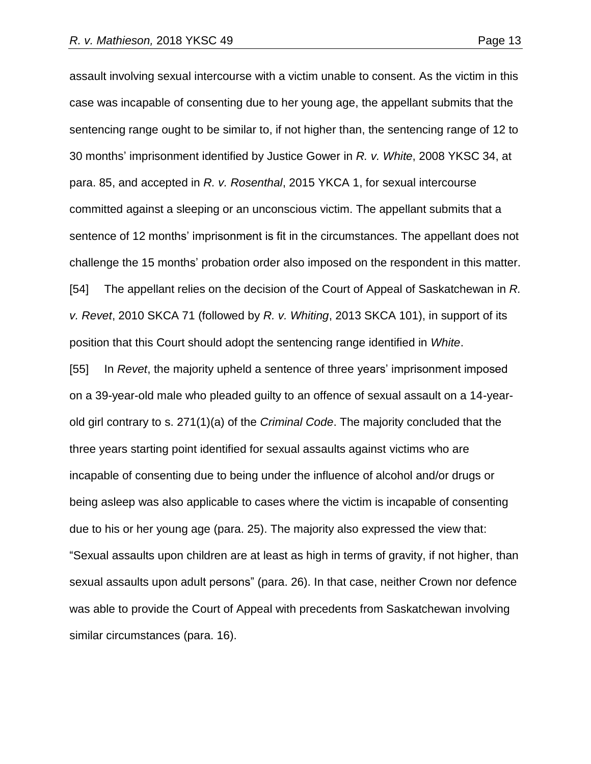assault involving sexual intercourse with a victim unable to consent. As the victim in this case was incapable of consenting due to her young age, the appellant submits that the sentencing range ought to be similar to, if not higher than, the sentencing range of 12 to 30 months' imprisonment identified by Justice Gower in *R. v. White*, 2008 YKSC 34, at para. 85, and accepted in *R. v. Rosenthal*, 2015 YKCA 1, for sexual intercourse committed against a sleeping or an unconscious victim. The appellant submits that a sentence of 12 months' imprisonment is fit in the circumstances. The appellant does not challenge the 15 months' probation order also imposed on the respondent in this matter. [54] The appellant relies on the decision of the Court of Appeal of Saskatchewan in *R. v. Revet*, 2010 SKCA 71 (followed by *R. v. Whiting*, 2013 SKCA 101), in support of its position that this Court should adopt the sentencing range identified in *White*. [55] In *Revet*, the majority upheld a sentence of three years' imprisonment imposed on a 39-year-old male who pleaded guilty to an offence of sexual assault on a 14-yearold girl contrary to s. 271(1)(a) of the *Criminal Code*. The majority concluded that the three years starting point identified for sexual assaults against victims who are incapable of consenting due to being under the influence of alcohol and/or drugs or being asleep was also applicable to cases where the victim is incapable of consenting due to his or her young age (para. 25). The majority also expressed the view that: "Sexual assaults upon children are at least as high in terms of gravity, if not higher, than sexual assaults upon adult persons" (para. 26). In that case, neither Crown nor defence was able to provide the Court of Appeal with precedents from Saskatchewan involving

similar circumstances (para. 16).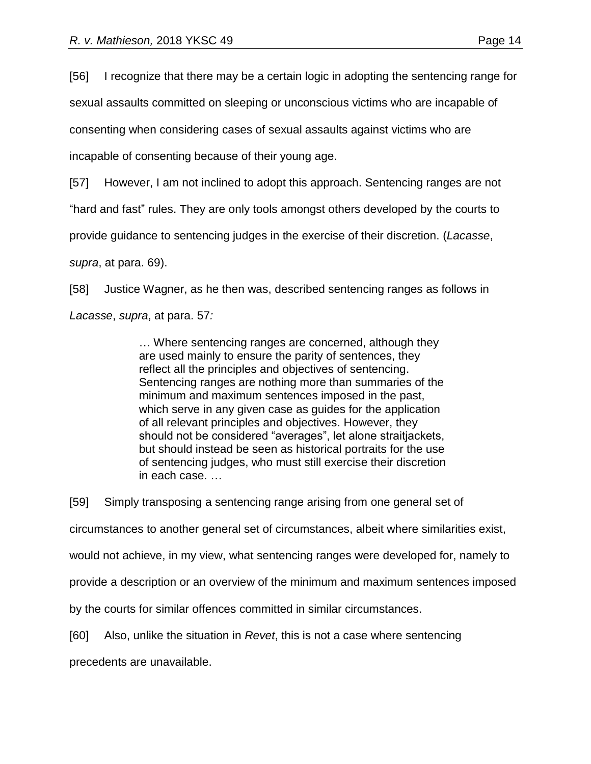[56] I recognize that there may be a certain logic in adopting the sentencing range for

sexual assaults committed on sleeping or unconscious victims who are incapable of

consenting when considering cases of sexual assaults against victims who are

incapable of consenting because of their young age.

[57] However, I am not inclined to adopt this approach. Sentencing ranges are not

"hard and fast" rules. They are only tools amongst others developed by the courts to

provide guidance to sentencing judges in the exercise of their discretion. (*Lacasse*,

*supra*, at para. 69).

[58] Justice Wagner, as he then was, described sentencing ranges as follows in *Lacasse*, *supra*, at para. 57*:*

> … Where sentencing ranges are concerned, although they are used mainly to ensure the parity of sentences, they reflect all the principles and objectives of sentencing. Sentencing ranges are nothing more than summaries of the minimum and maximum sentences imposed in the past, which serve in any given case as guides for the application of all relevant principles and objectives. However, they should not be considered "averages", let alone straitjackets, but should instead be seen as historical portraits for the use of sentencing judges, who must still exercise their discretion in each case. …

[59] Simply transposing a sentencing range arising from one general set of

circumstances to another general set of circumstances, albeit where similarities exist,

would not achieve, in my view, what sentencing ranges were developed for, namely to

provide a description or an overview of the minimum and maximum sentences imposed

by the courts for similar offences committed in similar circumstances.

[60] Also, unlike the situation in *Revet*, this is not a case where sentencing

precedents are unavailable.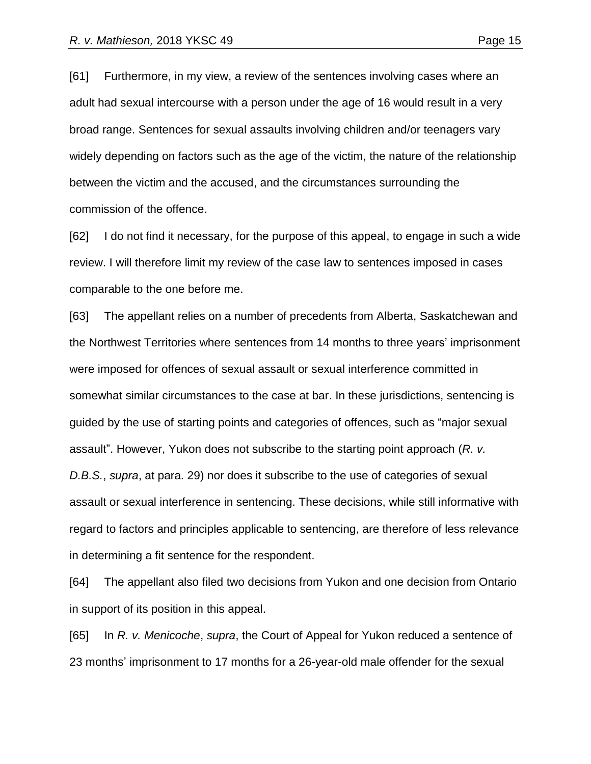[61] Furthermore, in my view, a review of the sentences involving cases where an adult had sexual intercourse with a person under the age of 16 would result in a very broad range. Sentences for sexual assaults involving children and/or teenagers vary widely depending on factors such as the age of the victim, the nature of the relationship between the victim and the accused, and the circumstances surrounding the commission of the offence.

[62] I do not find it necessary, for the purpose of this appeal, to engage in such a wide review. I will therefore limit my review of the case law to sentences imposed in cases comparable to the one before me.

[63] The appellant relies on a number of precedents from Alberta, Saskatchewan and the Northwest Territories where sentences from 14 months to three years' imprisonment were imposed for offences of sexual assault or sexual interference committed in somewhat similar circumstances to the case at bar. In these jurisdictions, sentencing is guided by the use of starting points and categories of offences, such as "major sexual assault". However, Yukon does not subscribe to the starting point approach (*R. v. D.B.S.*, *supra*, at para. 29) nor does it subscribe to the use of categories of sexual assault or sexual interference in sentencing. These decisions, while still informative with regard to factors and principles applicable to sentencing, are therefore of less relevance in determining a fit sentence for the respondent.

[64] The appellant also filed two decisions from Yukon and one decision from Ontario in support of its position in this appeal.

[65] In *R. v. Menicoche*, *supra*, the Court of Appeal for Yukon reduced a sentence of 23 months' imprisonment to 17 months for a 26-year-old male offender for the sexual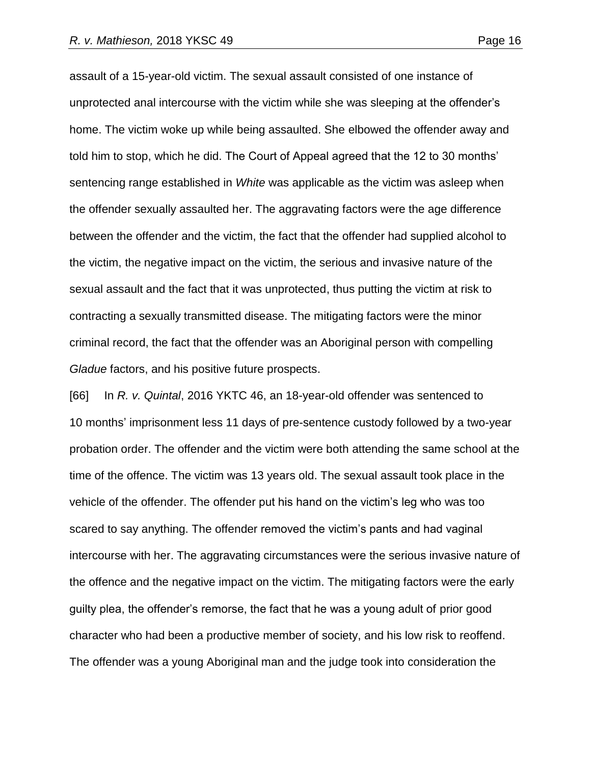assault of a 15-year-old victim. The sexual assault consisted of one instance of unprotected anal intercourse with the victim while she was sleeping at the offender's home. The victim woke up while being assaulted. She elbowed the offender away and told him to stop, which he did. The Court of Appeal agreed that the 12 to 30 months' sentencing range established in *White* was applicable as the victim was asleep when the offender sexually assaulted her. The aggravating factors were the age difference between the offender and the victim, the fact that the offender had supplied alcohol to the victim, the negative impact on the victim, the serious and invasive nature of the sexual assault and the fact that it was unprotected, thus putting the victim at risk to contracting a sexually transmitted disease. The mitigating factors were the minor criminal record, the fact that the offender was an Aboriginal person with compelling *Gladue* factors, and his positive future prospects.

[66] In *R. v. Quintal*, 2016 YKTC 46, an 18-year-old offender was sentenced to 10 months' imprisonment less 11 days of pre-sentence custody followed by a two-year probation order. The offender and the victim were both attending the same school at the time of the offence. The victim was 13 years old. The sexual assault took place in the vehicle of the offender. The offender put his hand on the victim's leg who was too scared to say anything. The offender removed the victim's pants and had vaginal intercourse with her. The aggravating circumstances were the serious invasive nature of the offence and the negative impact on the victim. The mitigating factors were the early guilty plea, the offender's remorse, the fact that he was a young adult of prior good character who had been a productive member of society, and his low risk to reoffend. The offender was a young Aboriginal man and the judge took into consideration the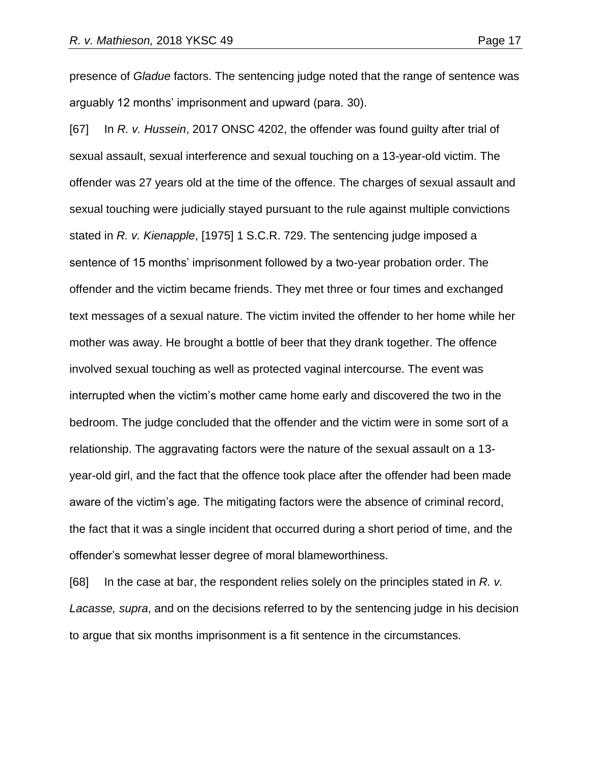presence of *Gladue* factors. The sentencing judge noted that the range of sentence was arguably 12 months' imprisonment and upward (para. 30).

[67] In *R. v. Hussein*, 2017 ONSC 4202, the offender was found guilty after trial of sexual assault, sexual interference and sexual touching on a 13-year-old victim. The offender was 27 years old at the time of the offence. The charges of sexual assault and sexual touching were judicially stayed pursuant to the rule against multiple convictions stated in *R. v. Kienapple*, [1975] 1 S.C.R. 729. The sentencing judge imposed a sentence of 15 months' imprisonment followed by a two-year probation order. The offender and the victim became friends. They met three or four times and exchanged text messages of a sexual nature. The victim invited the offender to her home while her mother was away. He brought a bottle of beer that they drank together. The offence involved sexual touching as well as protected vaginal intercourse. The event was interrupted when the victim's mother came home early and discovered the two in the bedroom. The judge concluded that the offender and the victim were in some sort of a relationship. The aggravating factors were the nature of the sexual assault on a 13 year-old girl, and the fact that the offence took place after the offender had been made aware of the victim's age. The mitigating factors were the absence of criminal record, the fact that it was a single incident that occurred during a short period of time, and the offender's somewhat lesser degree of moral blameworthiness.

[68] In the case at bar, the respondent relies solely on the principles stated in *R. v. Lacasse, supra*, and on the decisions referred to by the sentencing judge in his decision to argue that six months imprisonment is a fit sentence in the circumstances.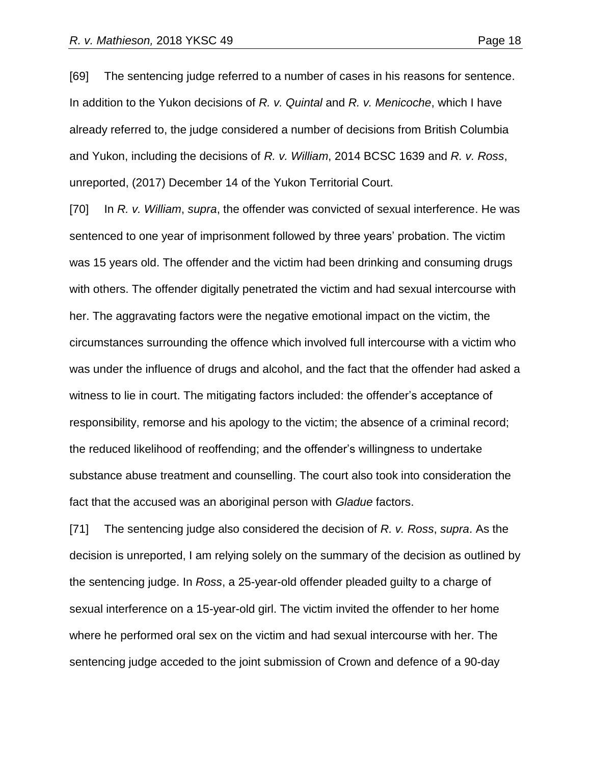[69] The sentencing judge referred to a number of cases in his reasons for sentence. In addition to the Yukon decisions of *R. v. Quintal* and *R. v. Menicoche*, which I have already referred to, the judge considered a number of decisions from British Columbia and Yukon, including the decisions of *R. v. William*, 2014 BCSC 1639 and *R. v. Ross*, unreported, (2017) December 14 of the Yukon Territorial Court.

[70] In *R. v. William*, *supra*, the offender was convicted of sexual interference. He was sentenced to one year of imprisonment followed by three years' probation. The victim was 15 years old. The offender and the victim had been drinking and consuming drugs with others. The offender digitally penetrated the victim and had sexual intercourse with her. The aggravating factors were the negative emotional impact on the victim, the circumstances surrounding the offence which involved full intercourse with a victim who was under the influence of drugs and alcohol, and the fact that the offender had asked a witness to lie in court. The mitigating factors included: the offender's acceptance of responsibility, remorse and his apology to the victim; the absence of a criminal record; the reduced likelihood of reoffending; and the offender's willingness to undertake substance abuse treatment and counselling. The court also took into consideration the fact that the accused was an aboriginal person with *Gladue* factors.

[71] The sentencing judge also considered the decision of *R. v. Ross*, *supra*. As the decision is unreported, I am relying solely on the summary of the decision as outlined by the sentencing judge. In *Ross*, a 25-year-old offender pleaded guilty to a charge of sexual interference on a 15-year-old girl. The victim invited the offender to her home where he performed oral sex on the victim and had sexual intercourse with her. The sentencing judge acceded to the joint submission of Crown and defence of a 90-day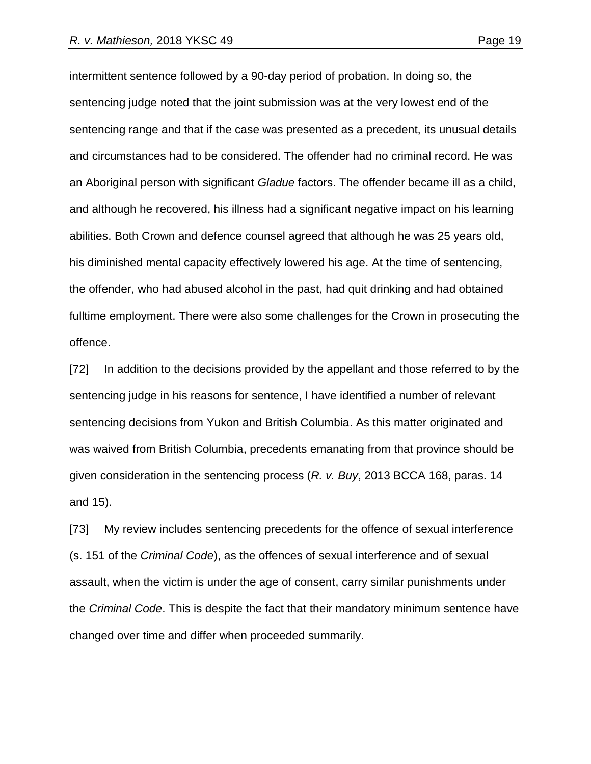intermittent sentence followed by a 90-day period of probation. In doing so, the sentencing judge noted that the joint submission was at the very lowest end of the sentencing range and that if the case was presented as a precedent, its unusual details and circumstances had to be considered. The offender had no criminal record. He was an Aboriginal person with significant *Gladue* factors. The offender became ill as a child, and although he recovered, his illness had a significant negative impact on his learning abilities. Both Crown and defence counsel agreed that although he was 25 years old, his diminished mental capacity effectively lowered his age. At the time of sentencing, the offender, who had abused alcohol in the past, had quit drinking and had obtained fulltime employment. There were also some challenges for the Crown in prosecuting the offence.

[72] In addition to the decisions provided by the appellant and those referred to by the sentencing judge in his reasons for sentence, I have identified a number of relevant sentencing decisions from Yukon and British Columbia. As this matter originated and was waived from British Columbia, precedents emanating from that province should be given consideration in the sentencing process (*R. v. Buy*, 2013 BCCA 168, paras. 14 and 15).

[73] My review includes sentencing precedents for the offence of sexual interference (s. 151 of the *Criminal Code*), as the offences of sexual interference and of sexual assault, when the victim is under the age of consent, carry similar punishments under the *Criminal Code*. This is despite the fact that their mandatory minimum sentence have changed over time and differ when proceeded summarily.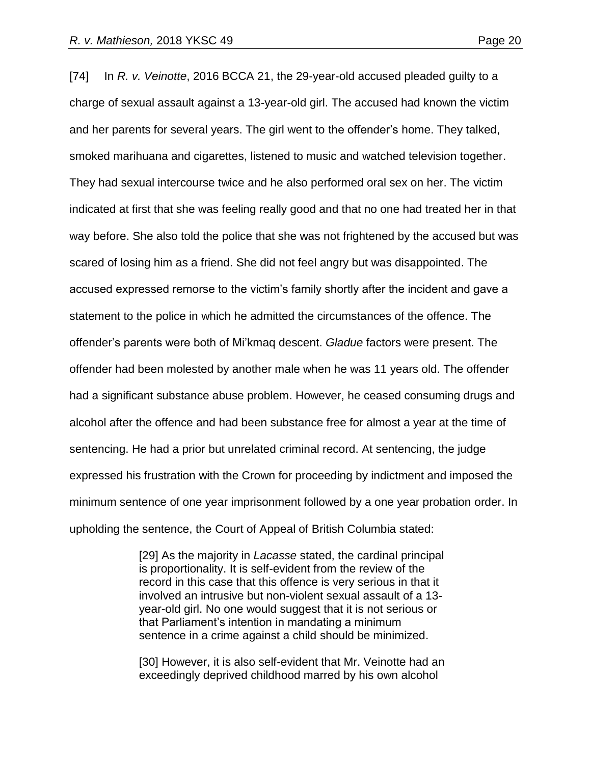[74] In *R. v. Veinotte*, 2016 BCCA 21, the 29-year-old accused pleaded guilty to a charge of sexual assault against a 13-year-old girl. The accused had known the victim and her parents for several years. The girl went to the offender's home. They talked, smoked marihuana and cigarettes, listened to music and watched television together. They had sexual intercourse twice and he also performed oral sex on her. The victim indicated at first that she was feeling really good and that no one had treated her in that way before. She also told the police that she was not frightened by the accused but was scared of losing him as a friend. She did not feel angry but was disappointed. The accused expressed remorse to the victim's family shortly after the incident and gave a statement to the police in which he admitted the circumstances of the offence. The offender's parents were both of Mi'kmaq descent. *Gladue* factors were present. The offender had been molested by another male when he was 11 years old. The offender had a significant substance abuse problem. However, he ceased consuming drugs and alcohol after the offence and had been substance free for almost a year at the time of sentencing. He had a prior but unrelated criminal record. At sentencing, the judge expressed his frustration with the Crown for proceeding by indictment and imposed the minimum sentence of one year imprisonment followed by a one year probation order. In upholding the sentence, the Court of Appeal of British Columbia stated:

> [29] As the majority in *Lacasse* stated, the cardinal principal is proportionality. It is self-evident from the review of the record in this case that this offence is very serious in that it involved an intrusive but non-violent sexual assault of a 13 year-old girl. No one would suggest that it is not serious or that Parliament's intention in mandating a minimum sentence in a crime against a child should be minimized.

> [30] However, it is also self-evident that Mr. Veinotte had an exceedingly deprived childhood marred by his own alcohol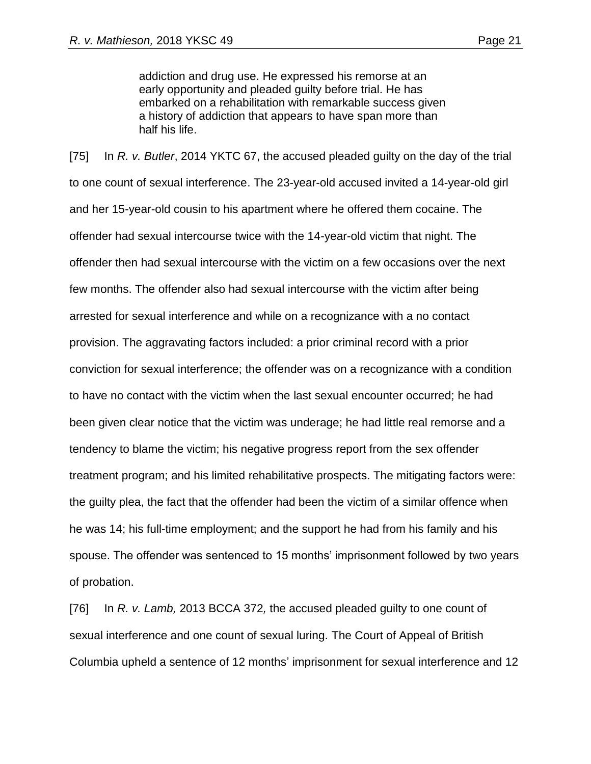addiction and drug use. He expressed his remorse at an early opportunity and pleaded guilty before trial. He has embarked on a rehabilitation with remarkable success given a history of addiction that appears to have span more than half his life.

[75] In *R. v. Butler*, 2014 YKTC 67, the accused pleaded guilty on the day of the trial to one count of sexual interference. The 23-year-old accused invited a 14-year-old girl and her 15-year-old cousin to his apartment where he offered them cocaine. The offender had sexual intercourse twice with the 14-year-old victim that night. The offender then had sexual intercourse with the victim on a few occasions over the next few months. The offender also had sexual intercourse with the victim after being arrested for sexual interference and while on a recognizance with a no contact provision. The aggravating factors included: a prior criminal record with a prior conviction for sexual interference; the offender was on a recognizance with a condition to have no contact with the victim when the last sexual encounter occurred; he had been given clear notice that the victim was underage; he had little real remorse and a tendency to blame the victim; his negative progress report from the sex offender treatment program; and his limited rehabilitative prospects. The mitigating factors were: the guilty plea, the fact that the offender had been the victim of a similar offence when he was 14; his full-time employment; and the support he had from his family and his spouse. The offender was sentenced to 15 months' imprisonment followed by two years of probation.

[76] In *R. v. Lamb,* 2013 BCCA 372*,* the accused pleaded guilty to one count of sexual interference and one count of sexual luring. The Court of Appeal of British Columbia upheld a sentence of 12 months' imprisonment for sexual interference and 12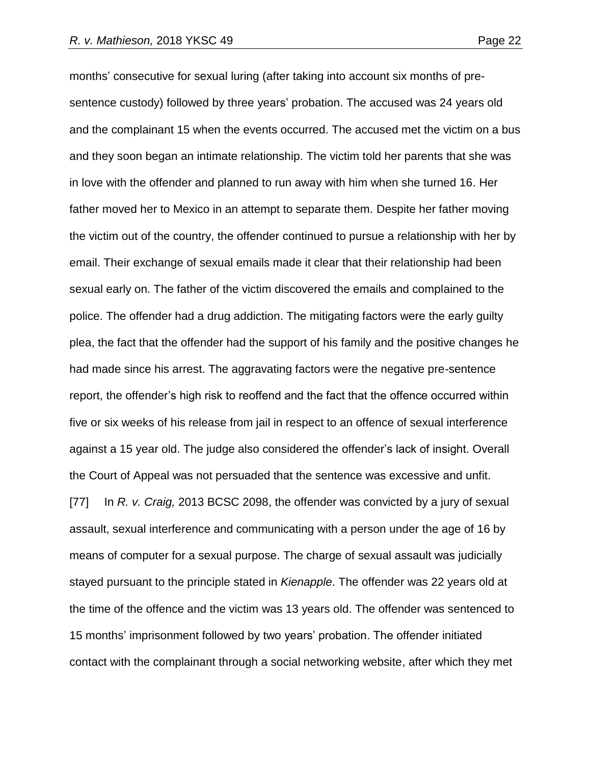months' consecutive for sexual luring (after taking into account six months of presentence custody) followed by three years' probation. The accused was 24 years old and the complainant 15 when the events occurred. The accused met the victim on a bus and they soon began an intimate relationship. The victim told her parents that she was in love with the offender and planned to run away with him when she turned 16. Her father moved her to Mexico in an attempt to separate them. Despite her father moving the victim out of the country, the offender continued to pursue a relationship with her by email. Their exchange of sexual emails made it clear that their relationship had been sexual early on. The father of the victim discovered the emails and complained to the police. The offender had a drug addiction. The mitigating factors were the early guilty plea, the fact that the offender had the support of his family and the positive changes he had made since his arrest. The aggravating factors were the negative pre-sentence report, the offender's high risk to reoffend and the fact that the offence occurred within five or six weeks of his release from jail in respect to an offence of sexual interference against a 15 year old. The judge also considered the offender's lack of insight. Overall the Court of Appeal was not persuaded that the sentence was excessive and unfit. [77] In *R. v. Craig,* 2013 BCSC 2098, the offender was convicted by a jury of sexual assault, sexual interference and communicating with a person under the age of 16 by means of computer for a sexual purpose. The charge of sexual assault was judicially stayed pursuant to the principle stated in *Kienapple*. The offender was 22 years old at the time of the offence and the victim was 13 years old. The offender was sentenced to 15 months' imprisonment followed by two years' probation. The offender initiated contact with the complainant through a social networking website, after which they met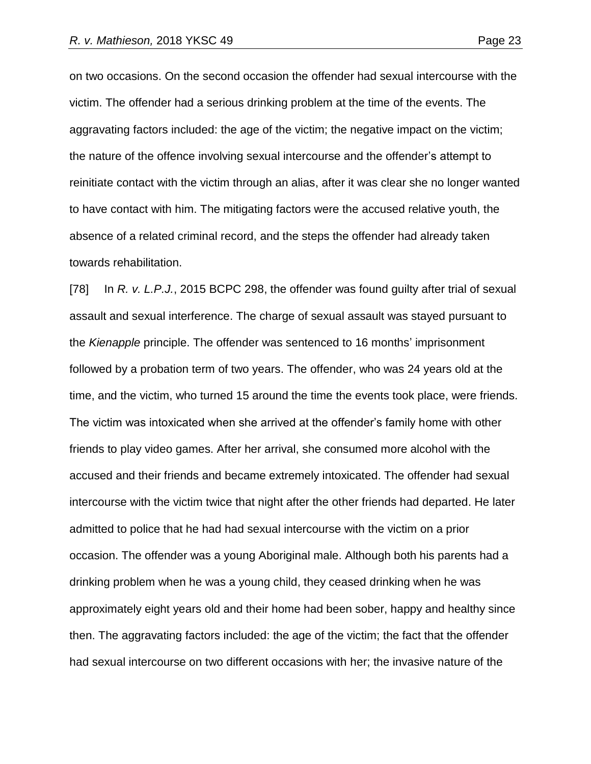on two occasions. On the second occasion the offender had sexual intercourse with the victim. The offender had a serious drinking problem at the time of the events. The aggravating factors included: the age of the victim; the negative impact on the victim; the nature of the offence involving sexual intercourse and the offender's attempt to reinitiate contact with the victim through an alias, after it was clear she no longer wanted to have contact with him. The mitigating factors were the accused relative youth, the absence of a related criminal record, and the steps the offender had already taken towards rehabilitation.

[78] In *R. v. L.P.J.*, 2015 BCPC 298, the offender was found guilty after trial of sexual assault and sexual interference. The charge of sexual assault was stayed pursuant to the *Kienapple* principle. The offender was sentenced to 16 months' imprisonment followed by a probation term of two years. The offender, who was 24 years old at the time, and the victim, who turned 15 around the time the events took place, were friends. The victim was intoxicated when she arrived at the offender's family home with other friends to play video games. After her arrival, she consumed more alcohol with the accused and their friends and became extremely intoxicated. The offender had sexual intercourse with the victim twice that night after the other friends had departed. He later admitted to police that he had had sexual intercourse with the victim on a prior occasion. The offender was a young Aboriginal male. Although both his parents had a drinking problem when he was a young child, they ceased drinking when he was approximately eight years old and their home had been sober, happy and healthy since then. The aggravating factors included: the age of the victim; the fact that the offender had sexual intercourse on two different occasions with her; the invasive nature of the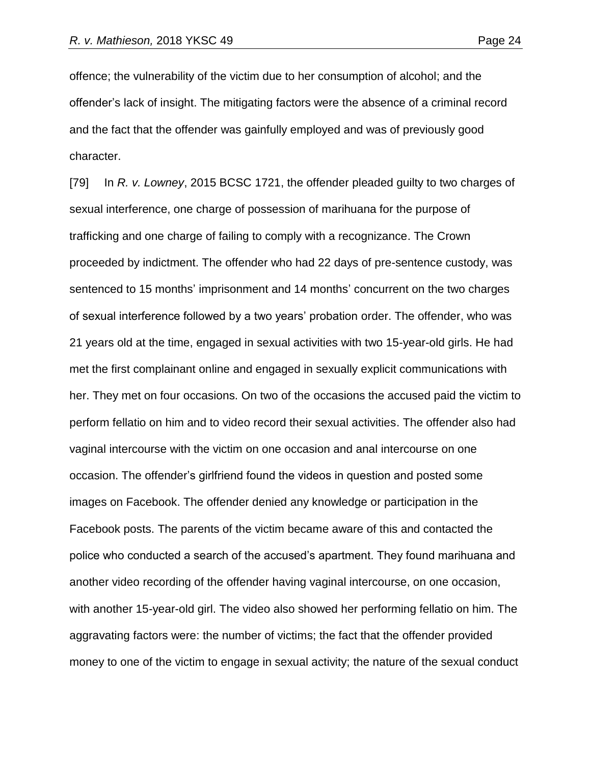offence; the vulnerability of the victim due to her consumption of alcohol; and the offender's lack of insight. The mitigating factors were the absence of a criminal record and the fact that the offender was gainfully employed and was of previously good character.

[79] In *R. v. Lowney*, 2015 BCSC 1721, the offender pleaded guilty to two charges of sexual interference, one charge of possession of marihuana for the purpose of trafficking and one charge of failing to comply with a recognizance. The Crown proceeded by indictment. The offender who had 22 days of pre-sentence custody, was sentenced to 15 months' imprisonment and 14 months' concurrent on the two charges of sexual interference followed by a two years' probation order. The offender, who was 21 years old at the time, engaged in sexual activities with two 15-year-old girls. He had met the first complainant online and engaged in sexually explicit communications with her. They met on four occasions. On two of the occasions the accused paid the victim to perform fellatio on him and to video record their sexual activities. The offender also had vaginal intercourse with the victim on one occasion and anal intercourse on one occasion. The offender's girlfriend found the videos in question and posted some images on Facebook. The offender denied any knowledge or participation in the Facebook posts. The parents of the victim became aware of this and contacted the police who conducted a search of the accused's apartment. They found marihuana and another video recording of the offender having vaginal intercourse, on one occasion, with another 15-year-old girl. The video also showed her performing fellatio on him. The aggravating factors were: the number of victims; the fact that the offender provided money to one of the victim to engage in sexual activity; the nature of the sexual conduct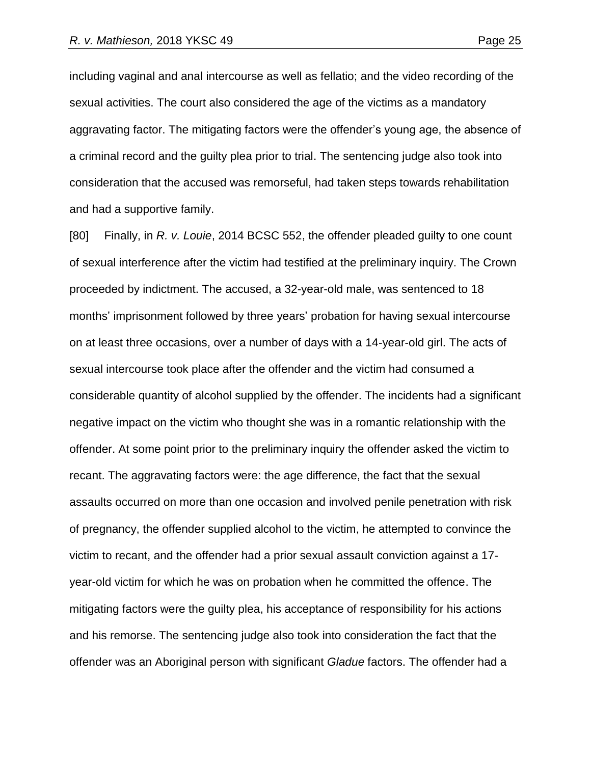including vaginal and anal intercourse as well as fellatio; and the video recording of the sexual activities. The court also considered the age of the victims as a mandatory aggravating factor. The mitigating factors were the offender's young age, the absence of a criminal record and the guilty plea prior to trial. The sentencing judge also took into consideration that the accused was remorseful, had taken steps towards rehabilitation and had a supportive family.

[80] Finally, in *R. v. Louie*, 2014 BCSC 552, the offender pleaded guilty to one count of sexual interference after the victim had testified at the preliminary inquiry. The Crown proceeded by indictment. The accused, a 32-year-old male, was sentenced to 18 months' imprisonment followed by three years' probation for having sexual intercourse on at least three occasions, over a number of days with a 14-year-old girl. The acts of sexual intercourse took place after the offender and the victim had consumed a considerable quantity of alcohol supplied by the offender. The incidents had a significant negative impact on the victim who thought she was in a romantic relationship with the offender. At some point prior to the preliminary inquiry the offender asked the victim to recant. The aggravating factors were: the age difference, the fact that the sexual assaults occurred on more than one occasion and involved penile penetration with risk of pregnancy, the offender supplied alcohol to the victim, he attempted to convince the victim to recant, and the offender had a prior sexual assault conviction against a 17 year-old victim for which he was on probation when he committed the offence. The mitigating factors were the guilty plea, his acceptance of responsibility for his actions and his remorse. The sentencing judge also took into consideration the fact that the offender was an Aboriginal person with significant *Gladue* factors. The offender had a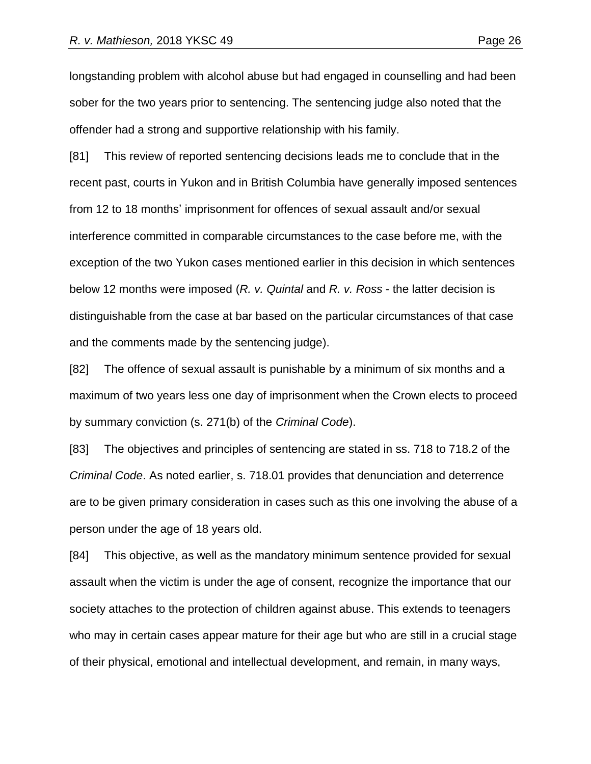longstanding problem with alcohol abuse but had engaged in counselling and had been sober for the two years prior to sentencing. The sentencing judge also noted that the offender had a strong and supportive relationship with his family.

[81] This review of reported sentencing decisions leads me to conclude that in the recent past, courts in Yukon and in British Columbia have generally imposed sentences from 12 to 18 months' imprisonment for offences of sexual assault and/or sexual interference committed in comparable circumstances to the case before me, with the exception of the two Yukon cases mentioned earlier in this decision in which sentences below 12 months were imposed (*R. v. Quintal* and *R. v. Ross* - the latter decision is distinguishable from the case at bar based on the particular circumstances of that case and the comments made by the sentencing judge).

[82] The offence of sexual assault is punishable by a minimum of six months and a maximum of two years less one day of imprisonment when the Crown elects to proceed by summary conviction (s. 271(b) of the *Criminal Code*).

[83] The objectives and principles of sentencing are stated in ss. 718 to 718.2 of the *Criminal Code*. As noted earlier, s. 718.01 provides that denunciation and deterrence are to be given primary consideration in cases such as this one involving the abuse of a person under the age of 18 years old.

[84] This objective, as well as the mandatory minimum sentence provided for sexual assault when the victim is under the age of consent, recognize the importance that our society attaches to the protection of children against abuse. This extends to teenagers who may in certain cases appear mature for their age but who are still in a crucial stage of their physical, emotional and intellectual development, and remain, in many ways,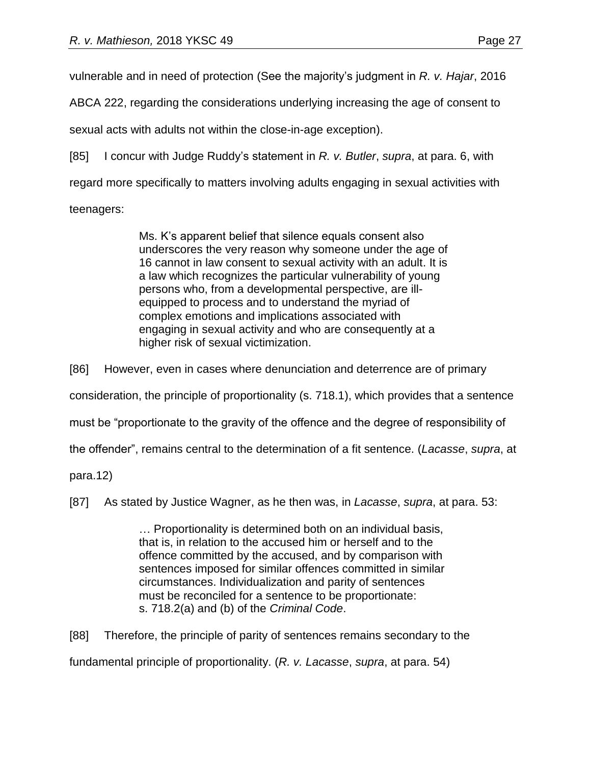vulnerable and in need of protection (See the majority's judgment in *R. v. Hajar*, 2016

ABCA 222, regarding the considerations underlying increasing the age of consent to

sexual acts with adults not within the close-in-age exception).

[85] I concur with Judge Ruddy's statement in *R. v. Butler*, *supra*, at para. 6, with

regard more specifically to matters involving adults engaging in sexual activities with

teenagers:

Ms. K's apparent belief that silence equals consent also underscores the very reason why someone under the age of 16 cannot in law consent to sexual activity with an adult. It is a law which recognizes the particular vulnerability of young persons who, from a developmental perspective, are illequipped to process and to understand the myriad of complex emotions and implications associated with engaging in sexual activity and who are consequently at a higher risk of sexual victimization.

[86] However, even in cases where denunciation and deterrence are of primary

consideration, the principle of proportionality (s. 718.1), which provides that a sentence

must be "proportionate to the gravity of the offence and the degree of responsibility of

the offender", remains central to the determination of a fit sentence. (*Lacasse*, *supra*, at

para.12)

[87] As stated by Justice Wagner, as he then was, in *Lacasse*, *supra*, at para. 53:

… Proportionality is determined both on an individual basis, that is, in relation to the accused him or herself and to the offence committed by the accused, and by comparison with sentences imposed for similar offences committed in similar circumstances. Individualization and parity of sentences must be reconciled for a sentence to be proportionate: s. 718.2(a) and (b) of the *Criminal Code*.

[88] Therefore, the principle of parity of sentences remains secondary to the

fundamental principle of proportionality. (*R. v. Lacasse*, *supra*, at para. 54)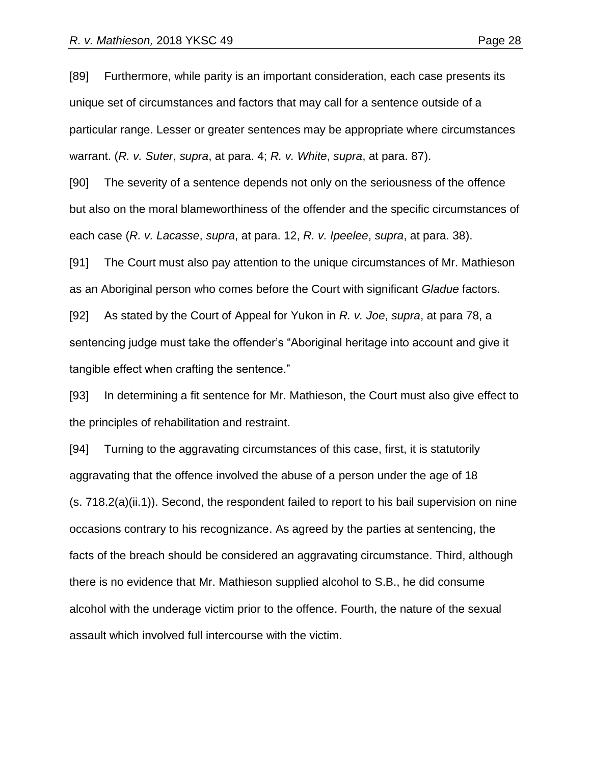[89] Furthermore, while parity is an important consideration, each case presents its unique set of circumstances and factors that may call for a sentence outside of a particular range. Lesser or greater sentences may be appropriate where circumstances warrant. (*R. v. Suter*, *supra*, at para. 4; *R. v. White*, *supra*, at para. 87).

[90] The severity of a sentence depends not only on the seriousness of the offence but also on the moral blameworthiness of the offender and the specific circumstances of each case (*R. v. Lacasse*, *supra*, at para. 12, *R. v. Ipeelee*, *supra*, at para. 38).

[91] The Court must also pay attention to the unique circumstances of Mr. Mathieson as an Aboriginal person who comes before the Court with significant *Gladue* factors.

[92] As stated by the Court of Appeal for Yukon in *R. v. Joe*, *supra*, at para 78, a sentencing judge must take the offender's "Aboriginal heritage into account and give it tangible effect when crafting the sentence."

[93] In determining a fit sentence for Mr. Mathieson, the Court must also give effect to the principles of rehabilitation and restraint.

[94] Turning to the aggravating circumstances of this case, first, it is statutorily aggravating that the offence involved the abuse of a person under the age of 18 (s. 718.2(a)(ii.1)). Second, the respondent failed to report to his bail supervision on nine occasions contrary to his recognizance. As agreed by the parties at sentencing, the facts of the breach should be considered an aggravating circumstance. Third, although there is no evidence that Mr. Mathieson supplied alcohol to S.B., he did consume alcohol with the underage victim prior to the offence. Fourth, the nature of the sexual assault which involved full intercourse with the victim.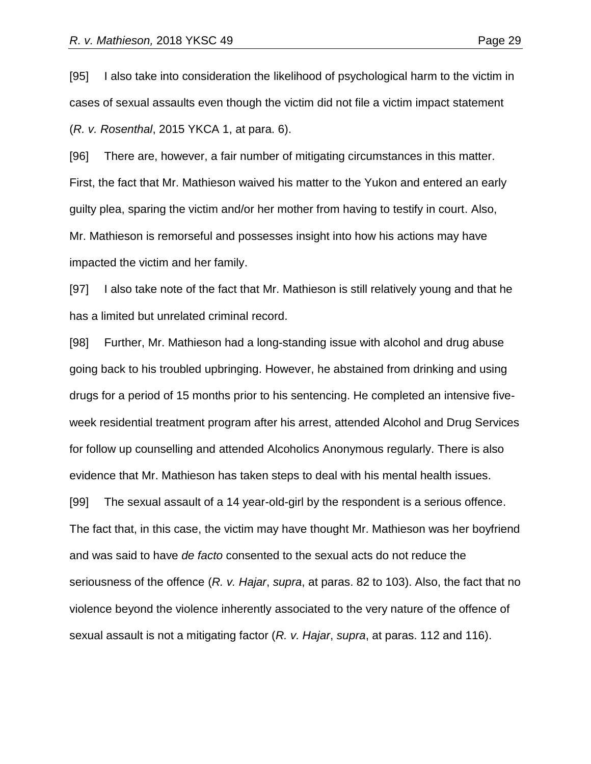[95] I also take into consideration the likelihood of psychological harm to the victim in cases of sexual assaults even though the victim did not file a victim impact statement (*R. v. Rosenthal*, 2015 YKCA 1, at para. 6).

[96] There are, however, a fair number of mitigating circumstances in this matter. First, the fact that Mr. Mathieson waived his matter to the Yukon and entered an early guilty plea, sparing the victim and/or her mother from having to testify in court. Also, Mr. Mathieson is remorseful and possesses insight into how his actions may have impacted the victim and her family.

[97] I also take note of the fact that Mr. Mathieson is still relatively young and that he has a limited but unrelated criminal record.

[98] Further, Mr. Mathieson had a long-standing issue with alcohol and drug abuse going back to his troubled upbringing. However, he abstained from drinking and using drugs for a period of 15 months prior to his sentencing. He completed an intensive fiveweek residential treatment program after his arrest, attended Alcohol and Drug Services for follow up counselling and attended Alcoholics Anonymous regularly. There is also evidence that Mr. Mathieson has taken steps to deal with his mental health issues. [99] The sexual assault of a 14 year-old-girl by the respondent is a serious offence. The fact that, in this case, the victim may have thought Mr. Mathieson was her boyfriend and was said to have *de facto* consented to the sexual acts do not reduce the seriousness of the offence (*R. v. Hajar*, *supra*, at paras. 82 to 103). Also, the fact that no violence beyond the violence inherently associated to the very nature of the offence of sexual assault is not a mitigating factor (*R. v. Hajar*, *supra*, at paras. 112 and 116).